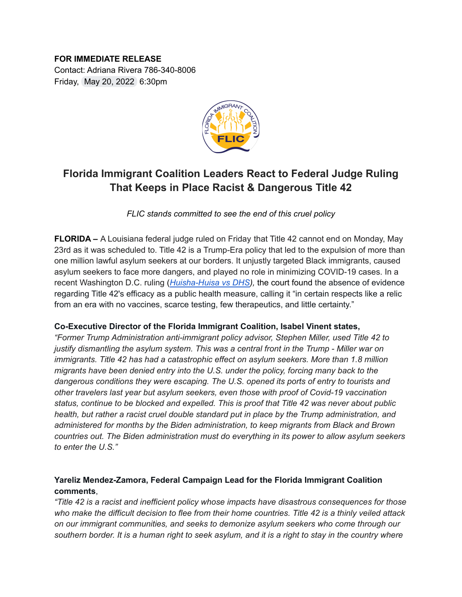# **FOR IMMEDIATE RELEASE**

Contact: Adriana Rivera 786-340-8006 Friday, May 20, 2022 6:30pm



## **Florida Immigrant Coalition Leaders React to Federal Judge Ruling That Keeps in Place Racist & Dangerous Title 42**

*FLIC stands committed to see the end of this cruel policy*

**FLORIDA –** A Louisiana federal judge ruled on Friday that Title 42 cannot end on Monday, May 23rd as it was scheduled to. Title 42 is a Trump-Era policy that led to the expulsion of more than one million lawful asylum seekers at our borders. It unjustly targeted Black immigrants, caused asylum seekers to face more dangers, and played no role in minimizing COVID-19 cases. In a recent Washington D.C. ruling (*[Huisha-Huisa](https://www.cadc.uscourts.gov/internet/opinions.nsf/F6289C9DDB487716852587FB00546E14/$file/21-5200-1937710.pdf) vs DHS),* the court found the absence of evidence regarding Title 42's efficacy as a public health measure, calling it "in certain respects like a relic from an era with no vaccines, scarce testing, few therapeutics, and little certainty."

#### **Co-Executive Director of the Florida Immigrant Coalition, Isabel Vinent states,**

*"Former Trump Administration anti-immigrant policy advisor, Stephen Miller, used Title 42 to justify dismantling the asylum system. This was a central front in the Trump - Miller war on immigrants. Title 42 has had a catastrophic effect on asylum seekers. More than 1.8 million migrants have been denied entry into the U.S. under the policy, forcing many back to the dangerous conditions they were escaping. The U.S. opened its ports of entry to tourists and other travelers last year but asylum seekers, even those with proof of Covid-19 vaccination status, continue to be blocked and expelled. This is proof that Title 42 was never about public health, but rather a racist cruel double standard put in place by the Trump administration, and administered for months by the Biden administration, to keep migrants from Black and Brown countries out. The Biden administration must do everything in its power to allow asylum seekers to enter the U.S."*

### **Yareliz Mendez-Zamora, Federal Campaign Lead for the Florida Immigrant Coalition comments**,

*"Title 42 is a racist and inefficient policy whose impacts have disastrous consequences for those* who make the difficult decision to flee from their home countries. Title 42 is a thinly veiled attack *on our immigrant communities, and seeks to demonize asylum seekers who come through our* southern border. It is a human right to seek asylum, and it is a right to stay in the country where